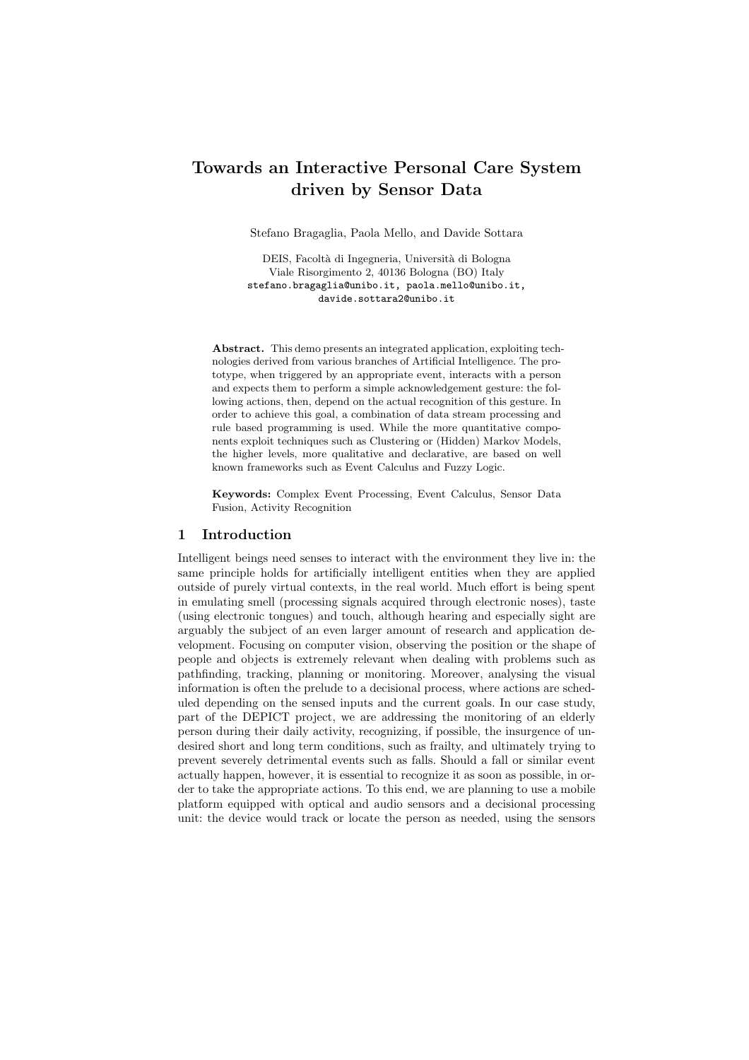# Towards an Interactive Personal Care System driven by Sensor Data

Stefano Bragaglia, Paola Mello, and Davide Sottara

DEIS, Facoltà di Ingegneria, Università di Bologna Viale Risorgimento 2, 40136 Bologna (BO) Italy stefano.bragaglia@unibo.it, paola.mello@unibo.it, davide.sottara2@unibo.it

Abstract. This demo presents an integrated application, exploiting technologies derived from various branches of Artificial Intelligence. The prototype, when triggered by an appropriate event, interacts with a person and expects them to perform a simple acknowledgement gesture: the following actions, then, depend on the actual recognition of this gesture. In order to achieve this goal, a combination of data stream processing and rule based programming is used. While the more quantitative components exploit techniques such as Clustering or (Hidden) Markov Models, the higher levels, more qualitative and declarative, are based on well known frameworks such as Event Calculus and Fuzzy Logic.

Keywords: Complex Event Processing, Event Calculus, Sensor Data Fusion, Activity Recognition

#### 1 Introduction

Intelligent beings need senses to interact with the environment they live in: the same principle holds for artificially intelligent entities when they are applied outside of purely virtual contexts, in the real world. Much effort is being spent in emulating smell (processing signals acquired through electronic noses), taste (using electronic tongues) and touch, although hearing and especially sight are arguably the subject of an even larger amount of research and application development. Focusing on computer vision, observing the position or the shape of people and objects is extremely relevant when dealing with problems such as pathfinding, tracking, planning or monitoring. Moreover, analysing the visual information is often the prelude to a decisional process, where actions are scheduled depending on the sensed inputs and the current goals. In our case study, part of the DEPICT project, we are addressing the monitoring of an elderly person during their daily activity, recognizing, if possible, the insurgence of undesired short and long term conditions, such as frailty, and ultimately trying to prevent severely detrimental events such as falls. Should a fall or similar event actually happen, however, it is essential to recognize it as soon as possible, in order to take the appropriate actions. To this end, we are planning to use a mobile platform equipped with optical and audio sensors and a decisional processing unit: the device would track or locate the person as needed, using the sensors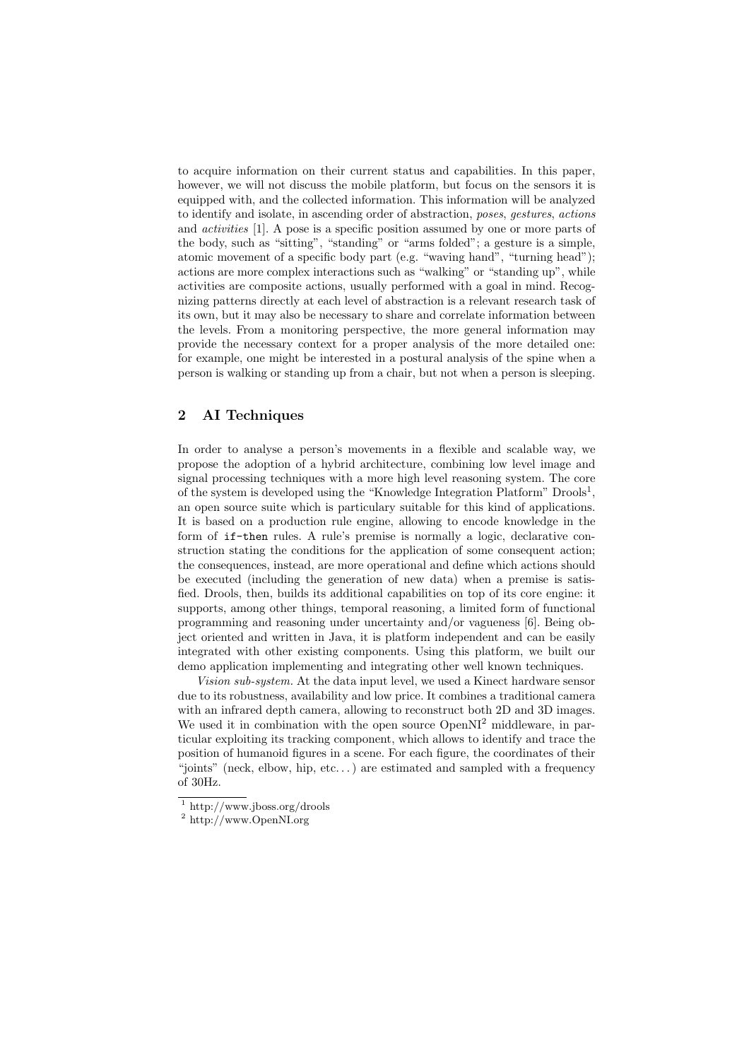to acquire information on their current status and capabilities. In this paper, however, we will not discuss the mobile platform, but focus on the sensors it is equipped with, and the collected information. This information will be analyzed to identify and isolate, in ascending order of abstraction, *poses*, *gestures*, *actions* and *activities* [1]. A pose is a specific position assumed by one or more parts of the body, such as "sitting", "standing" or "arms folded"; a gesture is a simple, atomic movement of a specific body part (e.g. "waving hand", "turning head"); actions are more complex interactions such as "walking" or "standing up", while activities are composite actions, usually performed with a goal in mind. Recognizing patterns directly at each level of abstraction is a relevant research task of its own, but it may also be necessary to share and correlate information between the levels. From a monitoring perspective, the more general information may provide the necessary context for a proper analysis of the more detailed one: for example, one might be interested in a postural analysis of the spine when a person is walking or standing up from a chair, but not when a person is sleeping.

## 2 AI Techniques

In order to analyse a person's movements in a flexible and scalable way, we propose the adoption of a hybrid architecture, combining low level image and signal processing techniques with a more high level reasoning system. The core of the system is developed using the "Knowledge Integration Platform"  $D\text{rools}^1$ , an open source suite which is particulary suitable for this kind of applications. It is based on a production rule engine, allowing to encode knowledge in the form of if-then rules. A rule's premise is normally a logic, declarative construction stating the conditions for the application of some consequent action; the consequences, instead, are more operational and define which actions should be executed (including the generation of new data) when a premise is satisfied. Drools, then, builds its additional capabilities on top of its core engine: it supports, among other things, temporal reasoning, a limited form of functional programming and reasoning under uncertainty and/or vagueness [6]. Being object oriented and written in Java, it is platform independent and can be easily integrated with other existing components. Using this platform, we built our demo application implementing and integrating other well known techniques.

*Vision sub-system.* At the data input level, we used a Kinect hardware sensor due to its robustness, availability and low price. It combines a traditional camera with an infrared depth camera, allowing to reconstruct both 2D and 3D images. We used it in combination with the open source OpenNI<sup>2</sup> middleware, in particular exploiting its tracking component, which allows to identify and trace the position of humanoid figures in a scene. For each figure, the coordinates of their "joints" (neck, elbow, hip, etc...) are estimated and sampled with a frequency of 30Hz.

<sup>&</sup>lt;sup>1</sup> http://www.jboss.org/drools

<sup>2</sup> http://www.OpenNI.org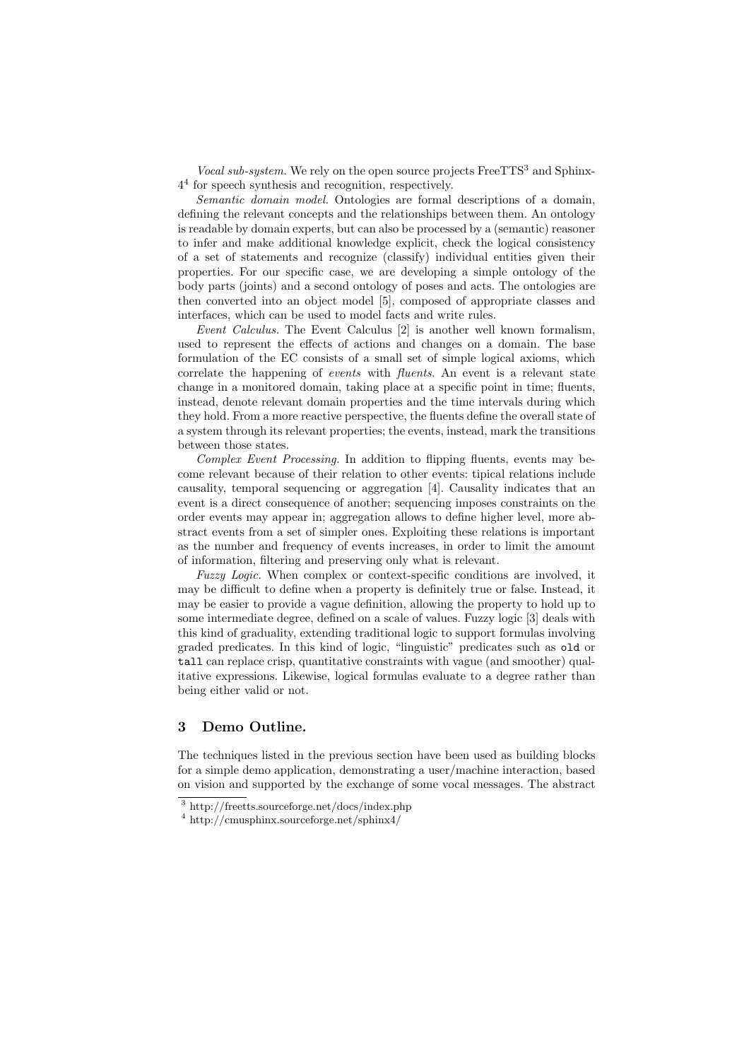*Vocal sub-system.* We rely on the open source projects Free TTS<sup>3</sup> and Sphinx-4<sup>4</sup> for speech synthesis and recognition, respectively.

*Semantic domain model.* Ontologies are formal descriptions of a domain, defining the relevant concepts and the relationships between them. An ontology is readable by domain experts, but can also be processed by a (semantic) reasoner to infer and make additional knowledge explicit, check the logical consistency of a set of statements and recognize (classify) individual entities given their properties. For our specific case, we are developing a simple ontology of the body parts (joints) and a second ontology of poses and acts. The ontologies are then converted into an object model [5], composed of appropriate classes and interfaces, which can be used to model facts and write rules.

*Event Calculus.* The Event Calculus [2] is another well known formalism, used to represent the effects of actions and changes on a domain. The base formulation of the EC consists of a small set of simple logical axioms, which correlate the happening of *events* with *fluents*. An event is a relevant state change in a monitored domain, taking place at a specific point in time; fluents, instead, denote relevant domain properties and the time intervals during which they hold. From a more reactive perspective, the fluents define the overall state of a system through its relevant properties; the events, instead, mark the transitions between those states.

*Complex Event Processing.* In addition to flipping fluents, events may become relevant because of their relation to other events: tipical relations include causality, temporal sequencing or aggregation [4]. Causality indicates that an event is a direct consequence of another; sequencing imposes constraints on the order events may appear in; aggregation allows to define higher level, more abstract events from a set of simpler ones. Exploiting these relations is important as the number and frequency of events increases, in order to limit the amount of information, filtering and preserving only what is relevant.

*Fuzzy Logic.* When complex or context-specific conditions are involved, it may be difficult to define when a property is definitely true or false. Instead, it may be easier to provide a vague definition, allowing the property to hold up to some intermediate degree, defined on a scale of values. Fuzzy logic [3] deals with this kind of graduality, extending traditional logic to support formulas involving graded predicates. In this kind of logic, "linguistic" predicates such as old or tall can replace crisp, quantitative constraints with vague (and smoother) qualitative expressions. Likewise, logical formulas evaluate to a degree rather than being either valid or not.

## 3 Demo Outline.

The techniques listed in the previous section have been used as building blocks for a simple demo application, demonstrating a user/machine interaction, based on vision and supported by the exchange of some vocal messages. The abstract

 $\frac{3 \text{ http://freets.sourcefore.net/docs/index.php}}{3 \text{ http://freets.sourcefore.net/docs/index.php}}$ 

<sup>4</sup> http://cmusphinx.sourceforge.net/sphinx4/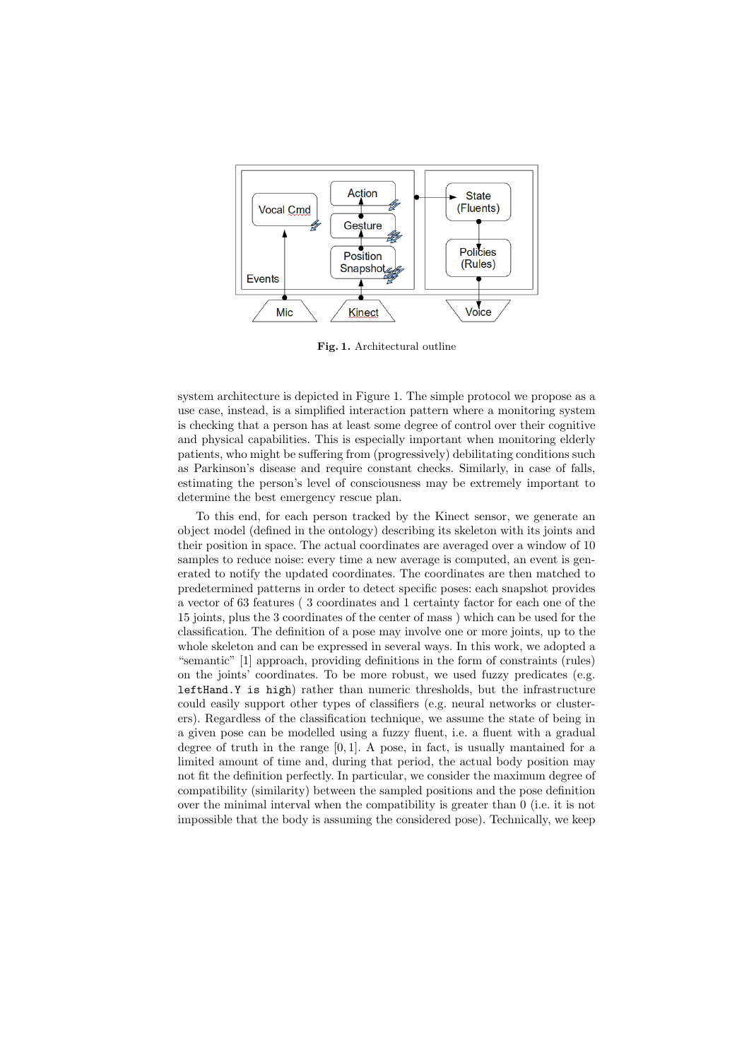

Fig. 1. Architectural outline

system architecture is depicted in Figure 1. The simple protocol we propose as a use case, instead, is a simplified interaction pattern where a monitoring system is checking that a person has at least some degree of control over their cognitive and physical capabilities. This is especially important when monitoring elderly patients, who might be suffering from (progressively) debilitating conditions such as Parkinson's disease and require constant checks. Similarly, in case of falls, estimating the person's level of consciousness may be extremely important to determine the best emergency rescue plan.

To this end, for each person tracked by the Kinect sensor, we generate an object model (defined in the ontology) describing its skeleton with its joints and their position in space. The actual coordinates are averaged over a window of 10 samples to reduce noise: every time a new average is computed, an event is generated to notify the updated coordinates. The coordinates are then matched to predetermined patterns in order to detect specific poses: each snapshot provides a vector of 63 features ( 3 coordinates and 1 certainty factor for each one of the 15 joints, plus the 3 coordinates of the center of mass ) which can be used for the classification. The definition of a pose may involve one or more joints, up to the whole skeleton and can be expressed in several ways. In this work, we adopted a "semantic" [1] approach, providing definitions in the form of constraints (rules) on the joints' coordinates. To be more robust, we used fuzzy predicates (e.g. leftHand.Y is high) rather than numeric thresholds, but the infrastructure could easily support other types of classifiers (e.g. neural networks or clusterers). Regardless of the classification technique, we assume the state of being in a given pose can be modelled using a fuzzy fluent, i.e. a fluent with a gradual degree of truth in the range [0*,* 1]. A pose, in fact, is usually mantained for a limited amount of time and, during that period, the actual body position may not fit the definition perfectly. In particular, we consider the maximum degree of compatibility (similarity) between the sampled positions and the pose definition over the minimal interval when the compatibility is greater than 0 (i.e. it is not impossible that the body is assuming the considered pose). Technically, we keep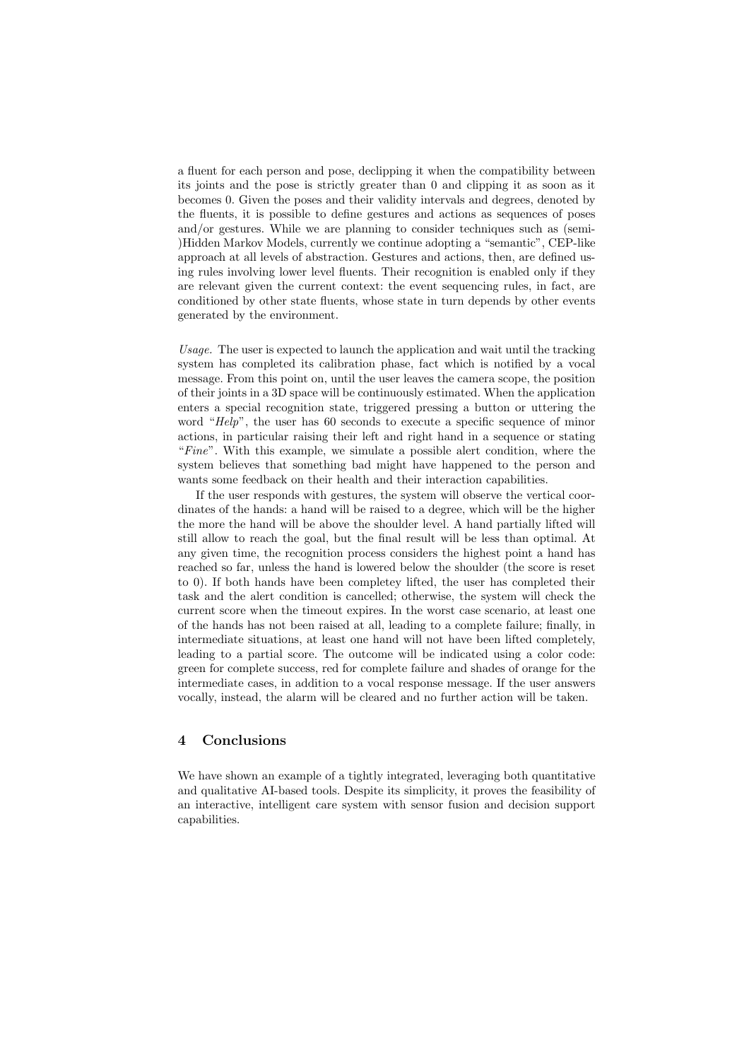a fluent for each person and pose, declipping it when the compatibility between its joints and the pose is strictly greater than 0 and clipping it as soon as it becomes 0. Given the poses and their validity intervals and degrees, denoted by the fluents, it is possible to define gestures and actions as sequences of poses and/or gestures. While we are planning to consider techniques such as (semi- )Hidden Markov Models, currently we continue adopting a "semantic", CEP-like approach at all levels of abstraction. Gestures and actions, then, are defined using rules involving lower level fluents. Their recognition is enabled only if they are relevant given the current context: the event sequencing rules, in fact, are conditioned by other state fluents, whose state in turn depends by other events generated by the environment.

*Usage.* The user is expected to launch the application and wait until the tracking system has completed its calibration phase, fact which is notified by a vocal message. From this point on, until the user leaves the camera scope, the position of their joints in a 3D space will be continuously estimated. When the application enters a special recognition state, triggered pressing a button or uttering the word "*Help*", the user has 60 seconds to execute a specific sequence of minor actions, in particular raising their left and right hand in a sequence or stating "*Fine*". With this example, we simulate a possible alert condition, where the system believes that something bad might have happened to the person and wants some feedback on their health and their interaction capabilities.

If the user responds with gestures, the system will observe the vertical coordinates of the hands: a hand will be raised to a degree, which will be the higher the more the hand will be above the shoulder level. A hand partially lifted will still allow to reach the goal, but the final result will be less than optimal. At any given time, the recognition process considers the highest point a hand has reached so far, unless the hand is lowered below the shoulder (the score is reset to 0). If both hands have been completey lifted, the user has completed their task and the alert condition is cancelled; otherwise, the system will check the current score when the timeout expires. In the worst case scenario, at least one of the hands has not been raised at all, leading to a complete failure; finally, in intermediate situations, at least one hand will not have been lifted completely, leading to a partial score. The outcome will be indicated using a color code: green for complete success, red for complete failure and shades of orange for the intermediate cases, in addition to a vocal response message. If the user answers vocally, instead, the alarm will be cleared and no further action will be taken.

#### 4 Conclusions

We have shown an example of a tightly integrated, leveraging both quantitative and qualitative AI-based tools. Despite its simplicity, it proves the feasibility of an interactive, intelligent care system with sensor fusion and decision support capabilities.